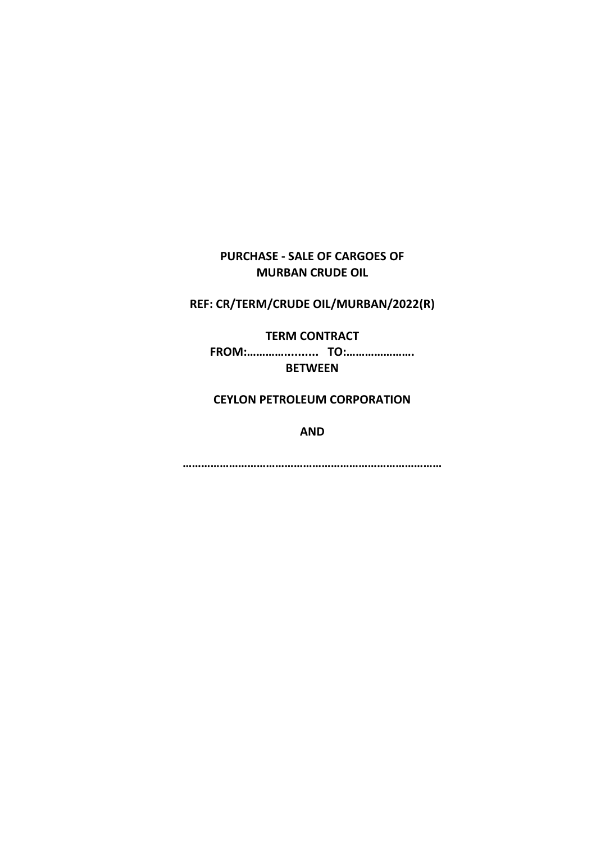# **PURCHASE - SALE OF CARGOES OF MURBAN CRUDE OIL**

**REF: CR/TERM/CRUDE OIL/MURBAN/2022(R)**

**TERM CONTRACT** 

**FROM:………….......... TO:…………………. BETWEEN**

**CEYLON PETROLEUM CORPORATION**

**AND**

**…………………………………………………………………………**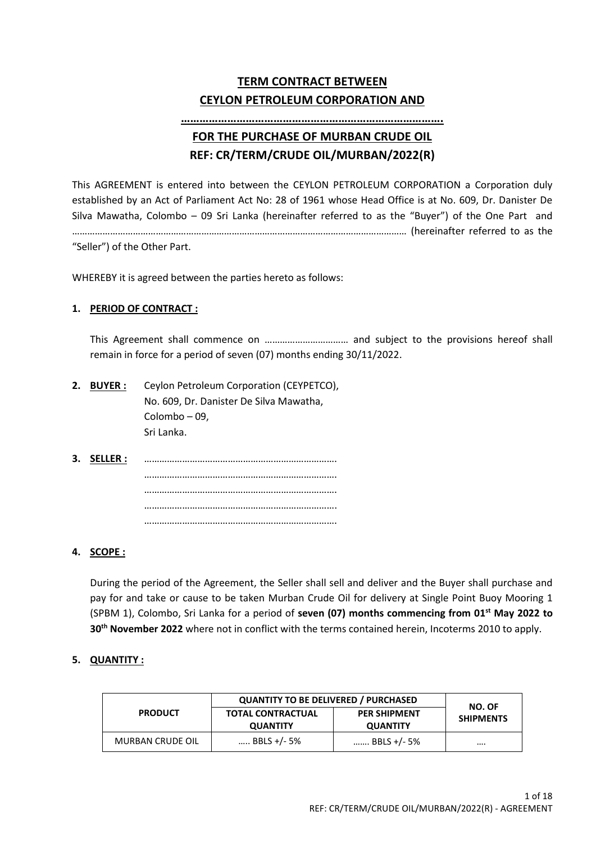# **TERM CONTRACT BETWEEN CEYLON PETROLEUM CORPORATION AND**

# **…………………………………………………………………………. FOR THE PURCHASE OF MURBAN CRUDE OIL**

# **REF: CR/TERM/CRUDE OIL/MURBAN/2022(R)**

This AGREEMENT is entered into between the CEYLON PETROLEUM CORPORATION a Corporation duly established by an Act of Parliament Act No: 28 of 1961 whose Head Office is at No. 609, Dr. Danister De Silva Mawatha, Colombo – 09 Sri Lanka (hereinafter referred to as the "Buyer") of the One Part and …………………………………………………………………………………………………………………… (hereinafter referred to as the

"Seller") of the Other Part.

WHEREBY it is agreed between the parties hereto as follows:

# **1. PERIOD OF CONTRACT :**

This Agreement shall commence on …………………………… and subject to the provisions hereof shall remain in force for a period of seven (07) months ending 30/11/2022.

- **2. BUYER :** Ceylon Petroleum Corporation (CEYPETCO), No. 609, Dr. Danister De Silva Mawatha, Colombo – 09, Sri Lanka.
- **3. SELLER :** …………………………………………………………………. …………………………………………………………………. …………………………………………………………………. …………………………………………………………………. ………………………………………………………………….

# **4. SCOPE :**

During the period of the Agreement, the Seller shall sell and deliver and the Buyer shall purchase and pay for and take or cause to be taken Murban Crude Oil for delivery at Single Point Buoy Mooring 1 (SPBM 1), Colombo, Sri Lanka for a period of **seven (07) months commencing from 01st May 2022 to 30 th November 2022** where not in conflict with the terms contained herein, Incoterms 2010 to apply.

# **5. QUANTITY :**

|                         | <b>QUANTITY TO BE DELIVERED / PURCHASED</b> | NO. OF                                 |                  |
|-------------------------|---------------------------------------------|----------------------------------------|------------------|
| <b>PRODUCT</b>          | <b>TOTAL CONTRACTUAL</b><br><b>QUANTITY</b> | <b>PER SHIPMENT</b><br><b>QUANTITY</b> | <b>SHIPMENTS</b> |
| <b>MURBAN CRUDE OIL</b> | BBLS +/- 5%                                 | BBLS +/- 5%                            |                  |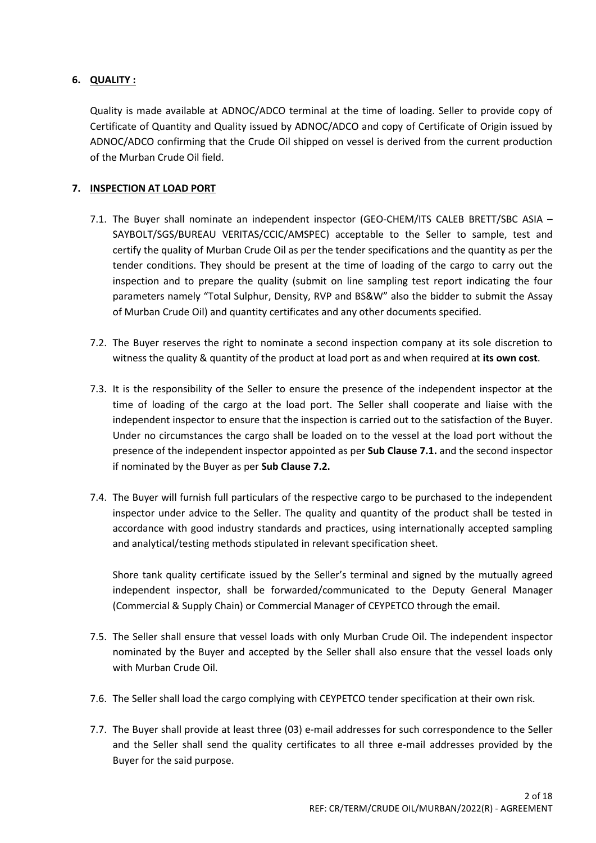# **6. QUALITY :**

Quality is made available at ADNOC/ADCO terminal at the time of loading. Seller to provide copy of Certificate of Quantity and Quality issued by ADNOC/ADCO and copy of Certificate of Origin issued by ADNOC/ADCO confirming that the Crude Oil shipped on vessel is derived from the current production of the Murban Crude Oil field.

# **7. INSPECTION AT LOAD PORT**

- 7.1. The Buyer shall nominate an independent inspector (GEO-CHEM/ITS CALEB BRETT/SBC ASIA SAYBOLT/SGS/BUREAU VERITAS/CCIC/AMSPEC) acceptable to the Seller to sample, test and certify the quality of Murban Crude Oil as per the tender specifications and the quantity as per the tender conditions. They should be present at the time of loading of the cargo to carry out the inspection and to prepare the quality (submit on line sampling test report indicating the four parameters namely "Total Sulphur, Density, RVP and BS&W" also the bidder to submit the Assay of Murban Crude Oil) and quantity certificates and any other documents specified.
- 7.2. The Buyer reserves the right to nominate a second inspection company at its sole discretion to witness the quality & quantity of the product at load port as and when required at **its own cost**.
- 7.3. It is the responsibility of the Seller to ensure the presence of the independent inspector at the time of loading of the cargo at the load port. The Seller shall cooperate and liaise with the independent inspector to ensure that the inspection is carried out to the satisfaction of the Buyer. Under no circumstances the cargo shall be loaded on to the vessel at the load port without the presence of the independent inspector appointed as per **Sub Clause 7.1.** and the second inspector if nominated by the Buyer as per **Sub Clause 7.2.**
- 7.4. The Buyer will furnish full particulars of the respective cargo to be purchased to the independent inspector under advice to the Seller. The quality and quantity of the product shall be tested in accordance with good industry standards and practices, using internationally accepted sampling and analytical/testing methods stipulated in relevant specification sheet.

Shore tank quality certificate issued by the Seller's terminal and signed by the mutually agreed independent inspector, shall be forwarded/communicated to the Deputy General Manager (Commercial & Supply Chain) or Commercial Manager of CEYPETCO through the email.

- 7.5. The Seller shall ensure that vessel loads with only Murban Crude Oil. The independent inspector nominated by the Buyer and accepted by the Seller shall also ensure that the vessel loads only with Murban Crude Oil.
- 7.6. The Seller shall load the cargo complying with CEYPETCO tender specification at their own risk.
- 7.7. The Buyer shall provide at least three (03) e-mail addresses for such correspondence to the Seller and the Seller shall send the quality certificates to all three e-mail addresses provided by the Buyer for the said purpose.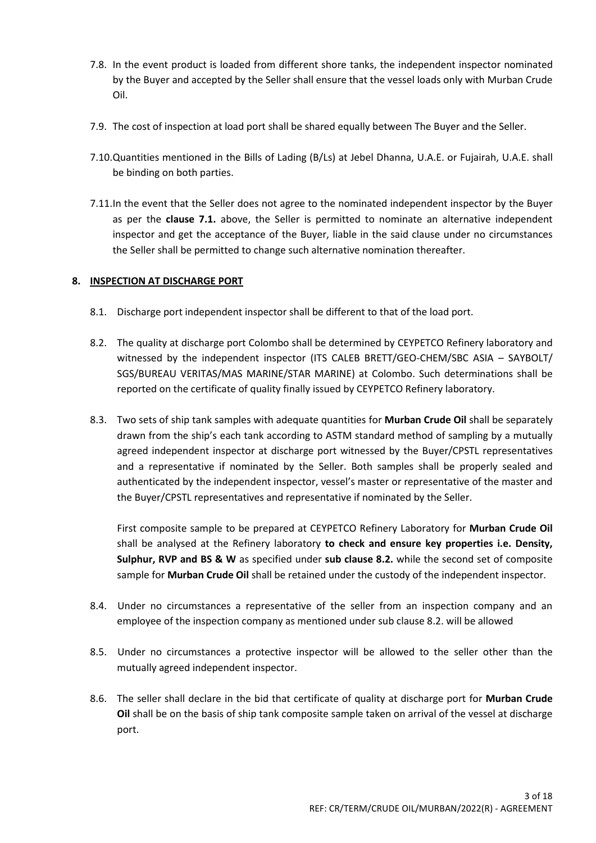- 7.8. In the event product is loaded from different shore tanks, the independent inspector nominated by the Buyer and accepted by the Seller shall ensure that the vessel loads only with Murban Crude Oil.
- 7.9. The cost of inspection at load port shall be shared equally between The Buyer and the Seller.
- 7.10.Quantities mentioned in the Bills of Lading (B/Ls) at Jebel Dhanna, U.A.E. or Fujairah, U.A.E. shall be binding on both parties.
- 7.11.In the event that the Seller does not agree to the nominated independent inspector by the Buyer as per the **clause 7.1.** above, the Seller is permitted to nominate an alternative independent inspector and get the acceptance of the Buyer, liable in the said clause under no circumstances the Seller shall be permitted to change such alternative nomination thereafter.

# **8. INSPECTION AT DISCHARGE PORT**

- 8.1. Discharge port independent inspector shall be different to that of the load port.
- 8.2. The quality at discharge port Colombo shall be determined by CEYPETCO Refinery laboratory and witnessed by the independent inspector (ITS CALEB BRETT/GEO-CHEM/SBC ASIA – SAYBOLT/ SGS/BUREAU VERITAS/MAS MARINE/STAR MARINE) at Colombo. Such determinations shall be reported on the certificate of quality finally issued by CEYPETCO Refinery laboratory.
- 8.3. Two sets of ship tank samples with adequate quantities for **Murban Crude Oil** shall be separately drawn from the ship's each tank according to ASTM standard method of sampling by a mutually agreed independent inspector at discharge port witnessed by the Buyer/CPSTL representatives and a representative if nominated by the Seller. Both samples shall be properly sealed and authenticated by the independent inspector, vessel's master or representative of the master and the Buyer/CPSTL representatives and representative if nominated by the Seller.

First composite sample to be prepared at CEYPETCO Refinery Laboratory for **Murban Crude Oil** shall be analysed at the Refinery laboratory **to check and ensure key properties i.e. Density, Sulphur, RVP and BS & W** as specified under **sub clause 8.2.** while the second set of composite sample for **Murban Crude Oil** shall be retained under the custody of the independent inspector.

- 8.4. Under no circumstances a representative of the seller from an inspection company and an employee of the inspection company as mentioned under sub clause 8.2. will be allowed
- 8.5. Under no circumstances a protective inspector will be allowed to the seller other than the mutually agreed independent inspector.
- 8.6. The seller shall declare in the bid that certificate of quality at discharge port for **Murban Crude Oil** shall be on the basis of ship tank composite sample taken on arrival of the vessel at discharge port.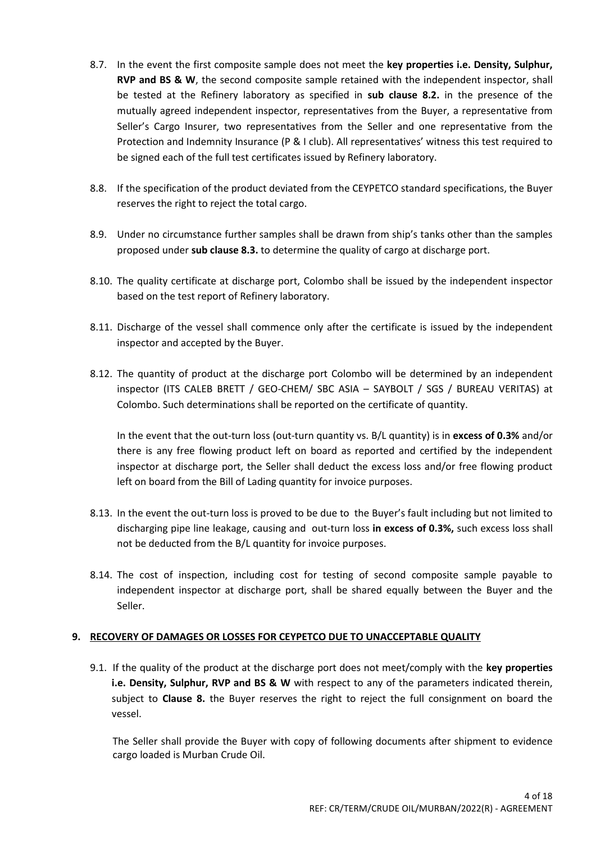- 8.7. In the event the first composite sample does not meet the **key properties i.e. Density, Sulphur, RVP and BS & W**, the second composite sample retained with the independent inspector, shall be tested at the Refinery laboratory as specified in **sub clause 8.2.** in the presence of the mutually agreed independent inspector, representatives from the Buyer, a representative from Seller's Cargo Insurer, two representatives from the Seller and one representative from the Protection and Indemnity Insurance (P & I club). All representatives' witness this test required to be signed each of the full test certificates issued by Refinery laboratory.
- 8.8. If the specification of the product deviated from the CEYPETCO standard specifications, the Buyer reserves the right to reject the total cargo.
- 8.9. Under no circumstance further samples shall be drawn from ship's tanks other than the samples proposed under **sub clause 8.3.** to determine the quality of cargo at discharge port.
- 8.10. The quality certificate at discharge port, Colombo shall be issued by the independent inspector based on the test report of Refinery laboratory.
- 8.11. Discharge of the vessel shall commence only after the certificate is issued by the independent inspector and accepted by the Buyer.
- 8.12. The quantity of product at the discharge port Colombo will be determined by an independent inspector (ITS CALEB BRETT / GEO-CHEM/ SBC ASIA – SAYBOLT / SGS / BUREAU VERITAS) at Colombo. Such determinations shall be reported on the certificate of quantity.

In the event that the out-turn loss (out-turn quantity vs. B/L quantity) is in **excess of 0.3%** and/or there is any free flowing product left on board as reported and certified by the independent inspector at discharge port, the Seller shall deduct the excess loss and/or free flowing product left on board from the Bill of Lading quantity for invoice purposes.

- 8.13. In the event the out-turn loss is proved to be due to the Buyer's fault including but not limited to discharging pipe line leakage, causing and out-turn loss **in excess of 0.3%,** such excess loss shall not be deducted from the B/L quantity for invoice purposes.
- 8.14. The cost of inspection, including cost for testing of second composite sample payable to independent inspector at discharge port, shall be shared equally between the Buyer and the Seller.

# **9. RECOVERY OF DAMAGES OR LOSSES FOR CEYPETCO DUE TO UNACCEPTABLE QUALITY**

9.1. If the quality of the product at the discharge port does not meet/comply with the **key properties i.e. Density, Sulphur, RVP and BS & W** with respect to any of the parameters indicated therein, subject to **Clause 8.** the Buyer reserves the right to reject the full consignment on board the vessel.

The Seller shall provide the Buyer with copy of following documents after shipment to evidence cargo loaded is Murban Crude Oil.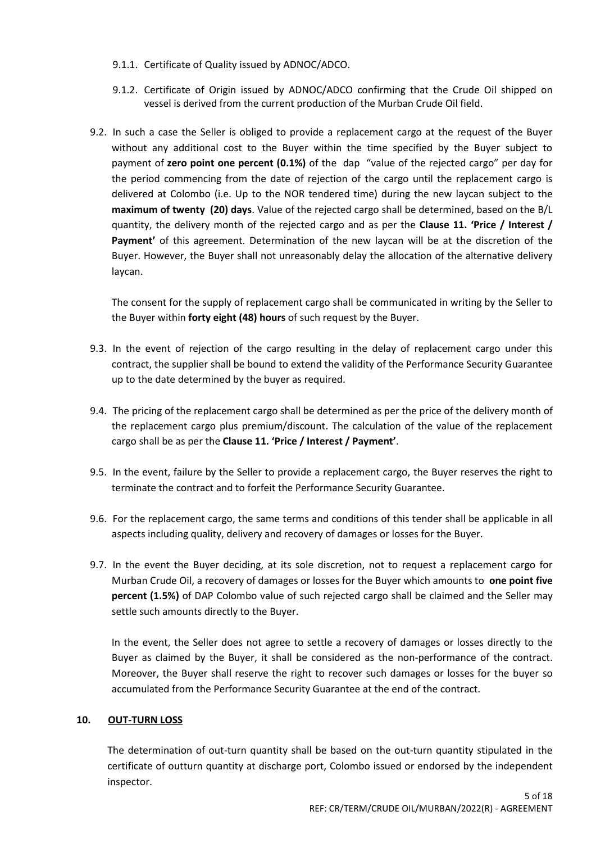- 9.1.1. Certificate of Quality issued by ADNOC/ADCO.
- 9.1.2. Certificate of Origin issued by ADNOC/ADCO confirming that the Crude Oil shipped on vessel is derived from the current production of the Murban Crude Oil field.
- 9.2. In such a case the Seller is obliged to provide a replacement cargo at the request of the Buyer without any additional cost to the Buyer within the time specified by the Buyer subject to payment of **zero point one percent (0.1%)** of the dap "value of the rejected cargo" per day for the period commencing from the date of rejection of the cargo until the replacement cargo is delivered at Colombo (i.e. Up to the NOR tendered time) during the new laycan subject to the **maximum of twenty (20) days**. Value of the rejected cargo shall be determined, based on the B/L quantity, the delivery month of the rejected cargo and as per the **Clause 11. 'Price / Interest / Payment'** of this agreement. Determination of the new laycan will be at the discretion of the Buyer. However, the Buyer shall not unreasonably delay the allocation of the alternative delivery laycan.

The consent for the supply of replacement cargo shall be communicated in writing by the Seller to the Buyer within **forty eight (48) hours** of such request by the Buyer.

- 9.3. In the event of rejection of the cargo resulting in the delay of replacement cargo under this contract, the supplier shall be bound to extend the validity of the Performance Security Guarantee up to the date determined by the buyer as required.
- 9.4. The pricing of the replacement cargo shall be determined as per the price of the delivery month of the replacement cargo plus premium/discount. The calculation of the value of the replacement cargo shall be as per the **Clause 11. 'Price / Interest / Payment'**.
- 9.5. In the event, failure by the Seller to provide a replacement cargo, the Buyer reserves the right to terminate the contract and to forfeit the Performance Security Guarantee.
- 9.6. For the replacement cargo, the same terms and conditions of this tender shall be applicable in all aspects including quality, delivery and recovery of damages or losses for the Buyer.
- 9.7. In the event the Buyer deciding, at its sole discretion, not to request a replacement cargo for Murban Crude Oil, a recovery of damages or losses for the Buyer which amounts to **one point five percent (1.5%)** of DAP Colombo value of such rejected cargo shall be claimed and the Seller may settle such amounts directly to the Buyer.

In the event, the Seller does not agree to settle a recovery of damages or losses directly to the Buyer as claimed by the Buyer, it shall be considered as the non-performance of the contract. Moreover, the Buyer shall reserve the right to recover such damages or losses for the buyer so accumulated from the Performance Security Guarantee at the end of the contract.

#### **10. OUT-TURN LOSS**

The determination of out-turn quantity shall be based on the out-turn quantity stipulated in the certificate of outturn quantity at discharge port, Colombo issued or endorsed by the independent inspector.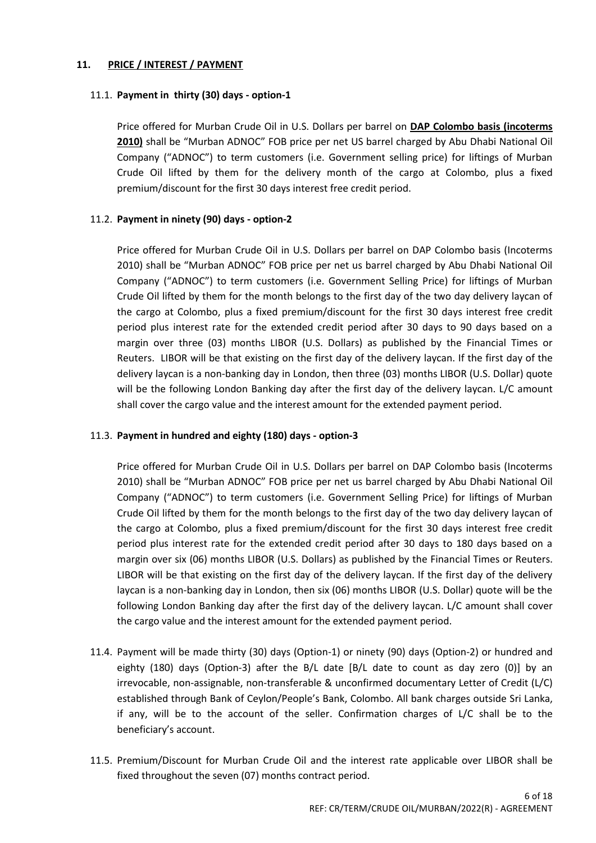# **11. PRICE / INTEREST / PAYMENT**

# 11.1. **Payment in thirty (30) days - option-1**

Price offered for Murban Crude Oil in U.S. Dollars per barrel on **DAP Colombo basis (incoterms 2010)** shall be "Murban ADNOC" FOB price per net US barrel charged by Abu Dhabi National Oil Company ("ADNOC") to term customers (i.e. Government selling price) for liftings of Murban Crude Oil lifted by them for the delivery month of the cargo at Colombo, plus a fixed premium/discount for the first 30 days interest free credit period.

# 11.2. **Payment in ninety (90) days - option-2**

Price offered for Murban Crude Oil in U.S. Dollars per barrel on DAP Colombo basis (Incoterms 2010) shall be "Murban ADNOC" FOB price per net us barrel charged by Abu Dhabi National Oil Company ("ADNOC") to term customers (i.e. Government Selling Price) for liftings of Murban Crude Oil lifted by them for the month belongs to the first day of the two day delivery laycan of the cargo at Colombo, plus a fixed premium/discount for the first 30 days interest free credit period plus interest rate for the extended credit period after 30 days to 90 days based on a margin over three (03) months LIBOR (U.S. Dollars) as published by the Financial Times or Reuters. LIBOR will be that existing on the first day of the delivery laycan. If the first day of the delivery laycan is a non-banking day in London, then three (03) months LIBOR (U.S. Dollar) quote will be the following London Banking day after the first day of the delivery laycan. L/C amount shall cover the cargo value and the interest amount for the extended payment period.

# 11.3. **Payment in hundred and eighty (180) days - option-3**

Price offered for Murban Crude Oil in U.S. Dollars per barrel on DAP Colombo basis (Incoterms 2010) shall be "Murban ADNOC" FOB price per net us barrel charged by Abu Dhabi National Oil Company ("ADNOC") to term customers (i.e. Government Selling Price) for liftings of Murban Crude Oil lifted by them for the month belongs to the first day of the two day delivery laycan of the cargo at Colombo, plus a fixed premium/discount for the first 30 days interest free credit period plus interest rate for the extended credit period after 30 days to 180 days based on a margin over six (06) months LIBOR (U.S. Dollars) as published by the Financial Times or Reuters. LIBOR will be that existing on the first day of the delivery laycan. If the first day of the delivery laycan is a non-banking day in London, then six (06) months LIBOR (U.S. Dollar) quote will be the following London Banking day after the first day of the delivery laycan. L/C amount shall cover the cargo value and the interest amount for the extended payment period.

- 11.4. Payment will be made thirty (30) days (Option-1) or ninety (90) days (Option-2) or hundred and eighty (180) days (Option-3) after the B/L date [B/L date to count as day zero (0)] by an irrevocable, non-assignable, non-transferable & unconfirmed documentary Letter of Credit (L/C) established through Bank of Ceylon/People's Bank, Colombo. All bank charges outside Sri Lanka, if any, will be to the account of the seller. Confirmation charges of L/C shall be to the beneficiary's account.
- 11.5. Premium/Discount for Murban Crude Oil and the interest rate applicable over LIBOR shall be fixed throughout the seven (07) months contract period.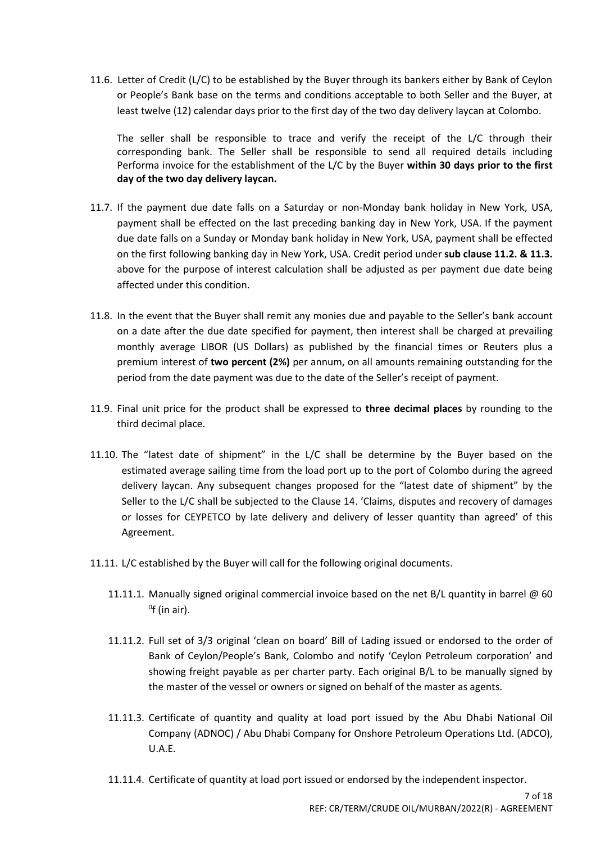11.6. Letter of Credit (L/C) to be established by the Buyer through its bankers either by Bank of Ceylon or People's Bank base on the terms and conditions acceptable to both Seller and the Buyer, at least twelve (12) calendar days prior to the first day of the two day delivery laycan at Colombo.

The seller shall be responsible to trace and verify the receipt of the L/C through their corresponding bank. The Seller shall be responsible to send all required details including Performa invoice for the establishment of the L/C by the Buyer **within 30 days prior to the first day of the two day delivery laycan.**

- 11.7. If the payment due date falls on a Saturday or non-Monday bank holiday in New York, USA, payment shall be effected on the last preceding banking day in New York, USA. If the payment due date falls on a Sunday or Monday bank holiday in New York, USA, payment shall be effected on the first following banking day in New York, USA. Credit period under **sub clause 11.2. & 11.3.**  above for the purpose of interest calculation shall be adjusted as per payment due date being affected under this condition.
- 11.8. In the event that the Buyer shall remit any monies due and payable to the Seller's bank account on a date after the due date specified for payment, then interest shall be charged at prevailing monthly average LIBOR (US Dollars) as published by the financial times or Reuters plus a premium interest of **two percent (2%)** per annum, on all amounts remaining outstanding for the period from the date payment was due to the date of the Seller's receipt of payment.
- 11.9. Final unit price for the product shall be expressed to **three decimal places** by rounding to the third decimal place.
- 11.10. The "latest date of shipment" in the L/C shall be determine by the Buyer based on the estimated average sailing time from the load port up to the port of Colombo during the agreed delivery laycan. Any subsequent changes proposed for the "latest date of shipment" by the Seller to the L/C shall be subjected to the Clause 14. 'Claims, disputes and recovery of damages or losses for CEYPETCO by late delivery and delivery of lesser quantity than agreed' of this Agreement.
- 11.11. L/C established by the Buyer will call for the following original documents.
	- 11.11.1. Manually signed original commercial invoice based on the net B/L quantity in barrel @ 60  $^0$ f (in air).
	- 11.11.2. Full set of 3/3 original 'clean on board' Bill of Lading issued or endorsed to the order of Bank of Ceylon/People's Bank, Colombo and notify 'Ceylon Petroleum corporation' and showing freight payable as per charter party. Each original B/L to be manually signed by the master of the vessel or owners or signed on behalf of the master as agents.
	- 11.11.3. Certificate of quantity and quality at load port issued by the Abu Dhabi National Oil Company (ADNOC) / Abu Dhabi Company for Onshore Petroleum Operations Ltd. (ADCO), U.A.E.
	- 11.11.4. Certificate of quantity at load port issued or endorsed by the independent inspector.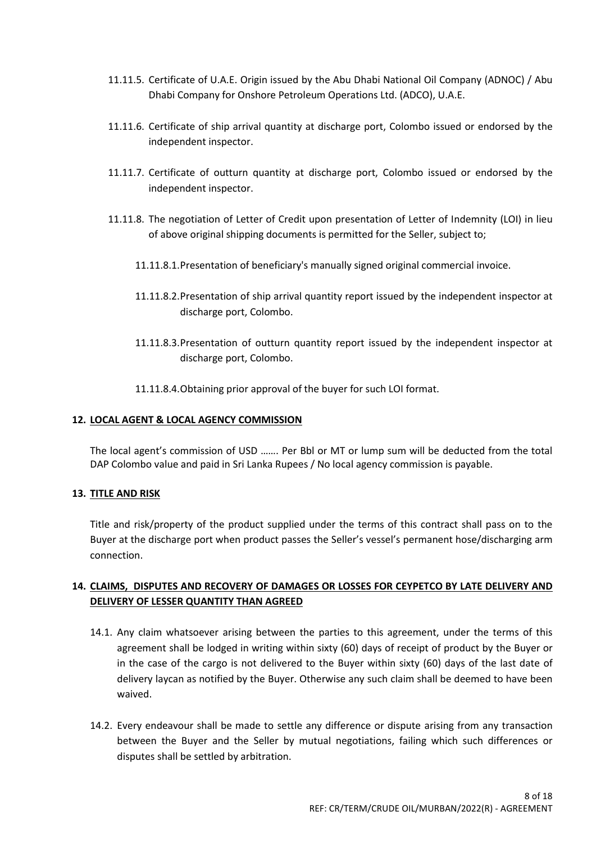- 11.11.5. Certificate of U.A.E. Origin issued by the Abu Dhabi National Oil Company (ADNOC) / Abu Dhabi Company for Onshore Petroleum Operations Ltd. (ADCO), U.A.E.
- 11.11.6. Certificate of ship arrival quantity at discharge port, Colombo issued or endorsed by the independent inspector.
- 11.11.7. Certificate of outturn quantity at discharge port, Colombo issued or endorsed by the independent inspector.
- 11.11.8. The negotiation of Letter of Credit upon presentation of Letter of Indemnity (LOI) in lieu of above original shipping documents is permitted for the Seller, subject to;
	- 11.11.8.1.Presentation of beneficiary's manually signed original commercial invoice.
	- 11.11.8.2.Presentation of ship arrival quantity report issued by the independent inspector at discharge port, Colombo.
	- 11.11.8.3.Presentation of outturn quantity report issued by the independent inspector at discharge port, Colombo.
	- 11.11.8.4.Obtaining prior approval of the buyer for such LOI format.

# **12. LOCAL AGENT & LOCAL AGENCY COMMISSION**

The local agent's commission of USD ……. Per Bbl or MT or lump sum will be deducted from the total DAP Colombo value and paid in Sri Lanka Rupees / No local agency commission is payable.

#### **13. TITLE AND RISK**

Title and risk/property of the product supplied under the terms of this contract shall pass on to the Buyer at the discharge port when product passes the Seller's vessel's permanent hose/discharging arm connection.

# **14. CLAIMS, DISPUTES AND RECOVERY OF DAMAGES OR LOSSES FOR CEYPETCO BY LATE DELIVERY AND DELIVERY OF LESSER QUANTITY THAN AGREED**

- 14.1. Any claim whatsoever arising between the parties to this agreement, under the terms of this agreement shall be lodged in writing within sixty (60) days of receipt of product by the Buyer or in the case of the cargo is not delivered to the Buyer within sixty (60) days of the last date of delivery laycan as notified by the Buyer. Otherwise any such claim shall be deemed to have been waived.
- 14.2. Every endeavour shall be made to settle any difference or dispute arising from any transaction between the Buyer and the Seller by mutual negotiations, failing which such differences or disputes shall be settled by arbitration.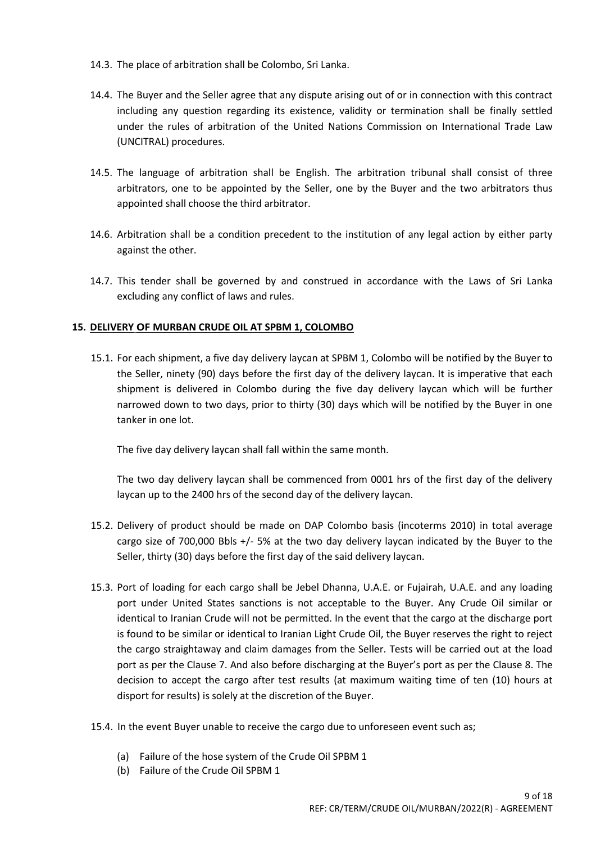- 14.3. The place of arbitration shall be Colombo, Sri Lanka.
- 14.4. The Buyer and the Seller agree that any dispute arising out of or in connection with this contract including any question regarding its existence, validity or termination shall be finally settled under the rules of arbitration of the United Nations Commission on International Trade Law (UNCITRAL) procedures.
- 14.5. The language of arbitration shall be English. The arbitration tribunal shall consist of three arbitrators, one to be appointed by the Seller, one by the Buyer and the two arbitrators thus appointed shall choose the third arbitrator.
- 14.6. Arbitration shall be a condition precedent to the institution of any legal action by either party against the other.
- 14.7. This tender shall be governed by and construed in accordance with the Laws of Sri Lanka excluding any conflict of laws and rules.

# **15. DELIVERY OF MURBAN CRUDE OIL AT SPBM 1, COLOMBO**

15.1. For each shipment, a five day delivery laycan at SPBM 1, Colombo will be notified by the Buyer to the Seller, ninety (90) days before the first day of the delivery laycan. It is imperative that each shipment is delivered in Colombo during the five day delivery laycan which will be further narrowed down to two days, prior to thirty (30) days which will be notified by the Buyer in one tanker in one lot.

The five day delivery laycan shall fall within the same month.

The two day delivery laycan shall be commenced from 0001 hrs of the first day of the delivery laycan up to the 2400 hrs of the second day of the delivery laycan.

- 15.2. Delivery of product should be made on DAP Colombo basis (incoterms 2010) in total average cargo size of 700,000 Bbls +/- 5% at the two day delivery laycan indicated by the Buyer to the Seller, thirty (30) days before the first day of the said delivery laycan.
- 15.3. Port of loading for each cargo shall be Jebel Dhanna, U.A.E. or Fujairah, U.A.E. and any loading port under United States sanctions is not acceptable to the Buyer. Any Crude Oil similar or identical to Iranian Crude will not be permitted. In the event that the cargo at the discharge port is found to be similar or identical to Iranian Light Crude Oil, the Buyer reserves the right to reject the cargo straightaway and claim damages from the Seller. Tests will be carried out at the load port as per the Clause 7. And also before discharging at the Buyer's port as per the Clause 8. The decision to accept the cargo after test results (at maximum waiting time of ten (10) hours at disport for results) is solely at the discretion of the Buyer.
- 15.4. In the event Buyer unable to receive the cargo due to unforeseen event such as;
	- (a) Failure of the hose system of the Crude Oil SPBM 1
	- (b) Failure of the Crude Oil SPBM 1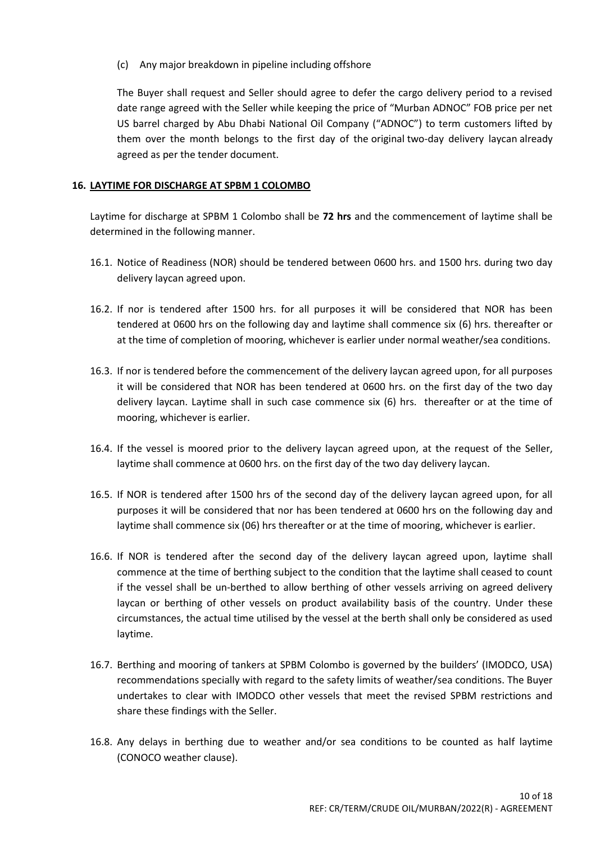(c) Any major breakdown in pipeline including offshore

The Buyer shall request and Seller should agree to defer the cargo delivery period to a revised date range agreed with the Seller while keeping the price of "Murban ADNOC" FOB price per net US barrel charged by Abu Dhabi National Oil Company ("ADNOC") to term customers lifted by them over the month belongs to the first day of the original two-day delivery laycan already agreed as per the tender document.

#### **16. LAYTIME FOR DISCHARGE AT SPBM 1 COLOMBO**

Laytime for discharge at SPBM 1 Colombo shall be **72 hrs** and the commencement of laytime shall be determined in the following manner.

- 16.1. Notice of Readiness (NOR) should be tendered between 0600 hrs. and 1500 hrs. during two day delivery laycan agreed upon.
- 16.2. If nor is tendered after 1500 hrs. for all purposes it will be considered that NOR has been tendered at 0600 hrs on the following day and laytime shall commence six (6) hrs. thereafter or at the time of completion of mooring, whichever is earlier under normal weather/sea conditions.
- 16.3. If nor is tendered before the commencement of the delivery laycan agreed upon, for all purposes it will be considered that NOR has been tendered at 0600 hrs. on the first day of the two day delivery laycan. Laytime shall in such case commence six (6) hrs. thereafter or at the time of mooring, whichever is earlier.
- 16.4. If the vessel is moored prior to the delivery laycan agreed upon, at the request of the Seller, laytime shall commence at 0600 hrs. on the first day of the two day delivery laycan.
- 16.5. If NOR is tendered after 1500 hrs of the second day of the delivery laycan agreed upon, for all purposes it will be considered that nor has been tendered at 0600 hrs on the following day and laytime shall commence six (06) hrs thereafter or at the time of mooring, whichever is earlier.
- 16.6. If NOR is tendered after the second day of the delivery laycan agreed upon, laytime shall commence at the time of berthing subject to the condition that the laytime shall ceased to count if the vessel shall be un-berthed to allow berthing of other vessels arriving on agreed delivery laycan or berthing of other vessels on product availability basis of the country. Under these circumstances, the actual time utilised by the vessel at the berth shall only be considered as used laytime.
- 16.7. Berthing and mooring of tankers at SPBM Colombo is governed by the builders' (IMODCO, USA) recommendations specially with regard to the safety limits of weather/sea conditions. The Buyer undertakes to clear with IMODCO other vessels that meet the revised SPBM restrictions and share these findings with the Seller.
- 16.8. Any delays in berthing due to weather and/or sea conditions to be counted as half laytime (CONOCO weather clause).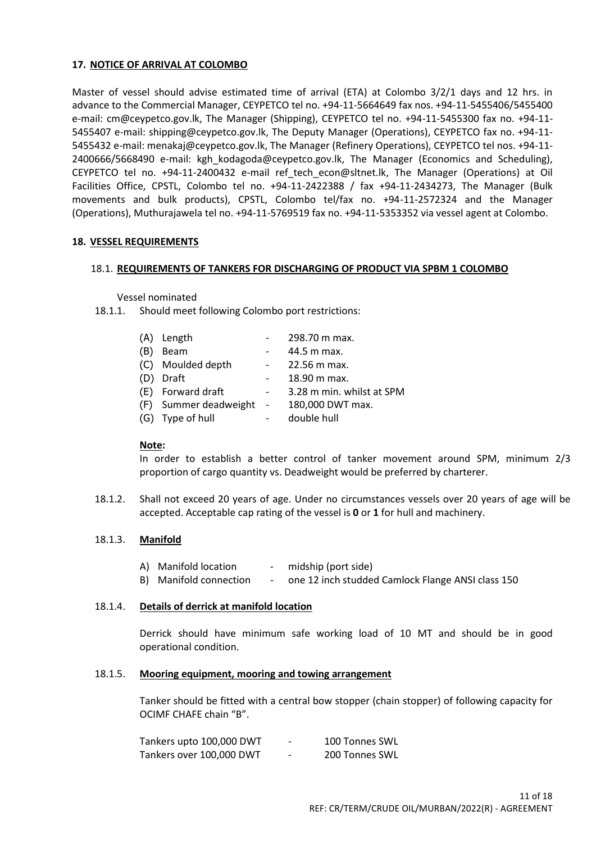#### **17. NOTICE OF ARRIVAL AT COLOMBO**

Master of vessel should advise estimated time of arrival (ETA) at Colombo 3/2/1 days and 12 hrs. in advance to the Commercial Manager, CEYPETCO tel no. +94-11-5664649 fax nos. +94-11-5455406/5455400 e-mail: cm@ceypetco.gov.lk, The Manager (Shipping), CEYPETCO tel no. +94-11-5455300 fax no. +94-11- 5455407 e-mail: shipping@ceypetco.gov.lk, The Deputy Manager (Operations), CEYPETCO fax no. +94-11- 5455432 e-mail: menakaj@ceypetco.gov.lk, The Manager (Refinery Operations), CEYPETCO tel nos. +94-11- 2400666/5668490 e-mail: kgh kodagoda@ceypetco.gov.lk, The Manager (Economics and Scheduling), CEYPETCO tel no. +94-11-2400432 e-mail [ref\\_tech\\_econ@sltnet.lk,](mailto:ref_tech_econ@sltnet.lk) The Manager (Operations) at Oil Facilities Office, CPSTL, Colombo tel no. +94-11-2422388 / fax +94-11-2434273, The Manager (Bulk movements and bulk products), CPSTL, Colombo tel/fax no. +94-11-2572324 and the Manager (Operations), Muthurajawela tel no. +94-11-5769519 fax no. +94-11-5353352 via vessel agent at Colombo.

# **18. VESSEL REQUIREMENTS**

#### 18.1. **REQUIREMENTS OF TANKERS FOR DISCHARGING OF PRODUCT VIA SPBM 1 COLOMBO**

#### Vessel nominated

18.1.1. Should meet following Colombo port restrictions:

|     | (A) Length              |        | 298.70 m max.             |
|-----|-------------------------|--------|---------------------------|
| (B) | <b>Beam</b>             |        | 44.5 m max.               |
|     | (C) Moulded depth       |        | 22.56 m max.              |
|     | (D) Draft               |        | 18.90 m max.              |
|     | (E) Forward draft       | $\sim$ | 3.28 m min. whilst at SPM |
|     | (F) Summer deadweight - |        | 180,000 DWT max.          |
|     | (G) Type of hull        |        | double hull               |
|     |                         |        |                           |

#### **Note:**

In order to establish a better control of tanker movement around SPM, minimum 2/3 proportion of cargo quantity vs. Deadweight would be preferred by charterer.

18.1.2. Shall not exceed 20 years of age. Under no circumstances vessels over 20 years of age will be accepted. Acceptable cap rating of the vessel is **0** or **1** for hull and machinery.

#### 18.1.3. **Manifold**

- A) Manifold location midship (port side)
- B) Manifold connection one 12 inch studded Camlock Flange ANSI class 150

#### 18.1.4. **Details of derrick at manifold location**

Derrick should have minimum safe working load of 10 MT and should be in good operational condition.

#### 18.1.5. **Mooring equipment, mooring and towing arrangement**

Tanker should be fitted with a central bow stopper (chain stopper) of following capacity for OCIMF CHAFE chain "B".

| Tankers upto 100,000 DWT | - | 100 Tonnes SWL |
|--------------------------|---|----------------|
| Tankers over 100,000 DWT | - | 200 Tonnes SWL |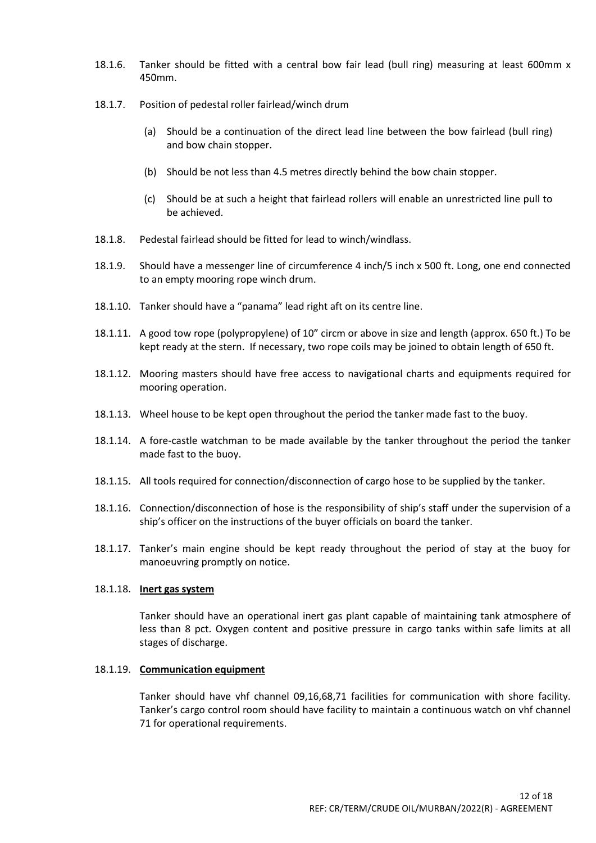- 18.1.6. Tanker should be fitted with a central bow fair lead (bull ring) measuring at least 600mm x 450mm.
- 18.1.7. Position of pedestal roller fairlead/winch drum
	- (a) Should be a continuation of the direct lead line between the bow fairlead (bull ring) and bow chain stopper.
	- (b) Should be not less than 4.5 metres directly behind the bow chain stopper.
	- (c) Should be at such a height that fairlead rollers will enable an unrestricted line pull to be achieved.
- 18.1.8. Pedestal fairlead should be fitted for lead to winch/windlass.
- 18.1.9. Should have a messenger line of circumference 4 inch/5 inch x 500 ft. Long, one end connected to an empty mooring rope winch drum.
- 18.1.10. Tanker should have a "panama" lead right aft on its centre line.
- 18.1.11. A good tow rope (polypropylene) of 10" circm or above in size and length (approx. 650 ft.) To be kept ready at the stern. If necessary, two rope coils may be joined to obtain length of 650 ft.
- 18.1.12. Mooring masters should have free access to navigational charts and equipments required for mooring operation.
- 18.1.13. Wheel house to be kept open throughout the period the tanker made fast to the buoy.
- 18.1.14. A fore-castle watchman to be made available by the tanker throughout the period the tanker made fast to the buoy.
- 18.1.15. All tools required for connection/disconnection of cargo hose to be supplied by the tanker.
- 18.1.16. Connection/disconnection of hose is the responsibility of ship's staff under the supervision of a ship's officer on the instructions of the buyer officials on board the tanker.
- 18.1.17. Tanker's main engine should be kept ready throughout the period of stay at the buoy for manoeuvring promptly on notice.

# 18.1.18. **Inert gas system**

Tanker should have an operational inert gas plant capable of maintaining tank atmosphere of less than 8 pct. Oxygen content and positive pressure in cargo tanks within safe limits at all stages of discharge.

#### 18.1.19. **Communication equipment**

Tanker should have vhf channel 09,16,68,71 facilities for communication with shore facility. Tanker's cargo control room should have facility to maintain a continuous watch on vhf channel 71 for operational requirements.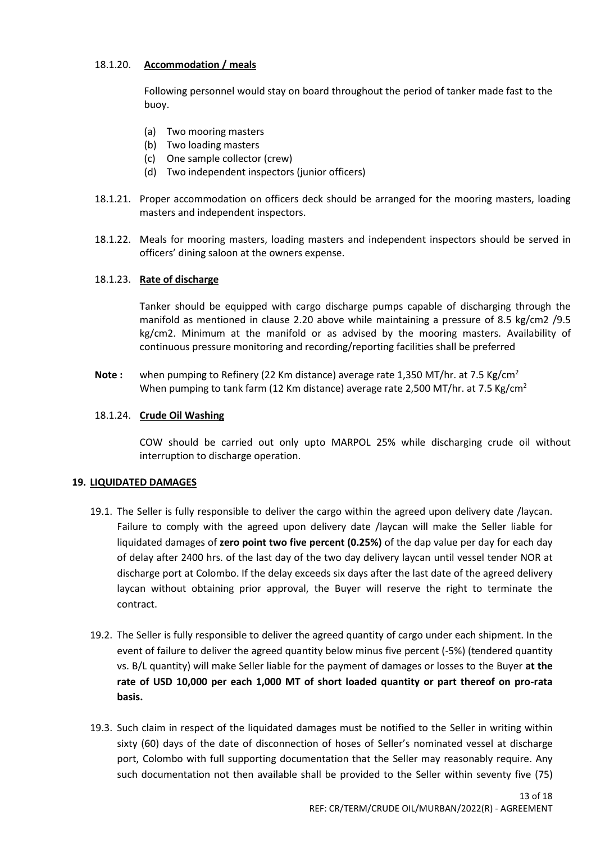# 18.1.20. **Accommodation / meals**

Following personnel would stay on board throughout the period of tanker made fast to the buoy.

- (a) Two mooring masters
- (b) Two loading masters
- (c) One sample collector (crew)
- (d) Two independent inspectors (junior officers)
- 18.1.21. Proper accommodation on officers deck should be arranged for the mooring masters, loading masters and independent inspectors.
- 18.1.22. Meals for mooring masters, loading masters and independent inspectors should be served in officers' dining saloon at the owners expense.

#### 18.1.23. **Rate of discharge**

Tanker should be equipped with cargo discharge pumps capable of discharging through the manifold as mentioned in clause 2.20 above while maintaining a pressure of 8.5 kg/cm2 /9.5 kg/cm2. Minimum at the manifold or as advised by the mooring masters. Availability of continuous pressure monitoring and recording/reporting facilities shall be preferred

**Note :** when pumping to Refinery (22 Km distance) average rate 1,350 MT/hr. at 7.5 Kg/cm<sup>2</sup> When pumping to tank farm (12 Km distance) average rate 2,500 MT/hr. at 7.5 Kg/cm<sup>2</sup>

#### 18.1.24. **Crude Oil Washing**

COW should be carried out only upto MARPOL 25% while discharging crude oil without interruption to discharge operation.

#### **19. LIQUIDATED DAMAGES**

- 19.1. The Seller is fully responsible to deliver the cargo within the agreed upon delivery date /laycan. Failure to comply with the agreed upon delivery date /laycan will make the Seller liable for liquidated damages of **zero point two five percent (0.25%)** of the dap value per day for each day of delay after 2400 hrs. of the last day of the two day delivery laycan until vessel tender NOR at discharge port at Colombo. If the delay exceeds six days after the last date of the agreed delivery laycan without obtaining prior approval, the Buyer will reserve the right to terminate the contract.
- 19.2. The Seller is fully responsible to deliver the agreed quantity of cargo under each shipment. In the event of failure to deliver the agreed quantity below minus five percent (-5%) (tendered quantity vs. B/L quantity) will make Seller liable for the payment of damages or losses to the Buyer **at the rate of USD 10,000 per each 1,000 MT of short loaded quantity or part thereof on pro-rata basis.**
- 19.3. Such claim in respect of the liquidated damages must be notified to the Seller in writing within sixty (60) days of the date of disconnection of hoses of Seller's nominated vessel at discharge port, Colombo with full supporting documentation that the Seller may reasonably require. Any such documentation not then available shall be provided to the Seller within seventy five (75)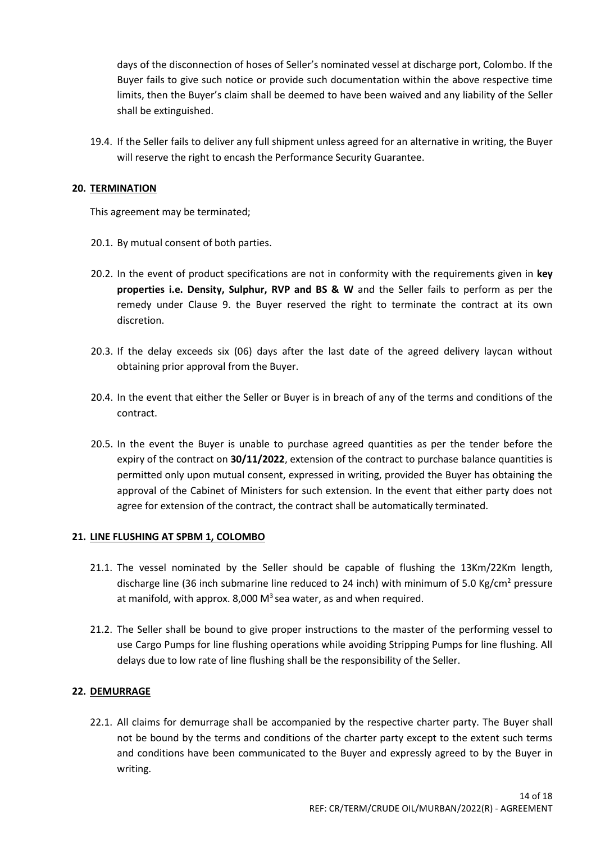days of the disconnection of hoses of Seller's nominated vessel at discharge port, Colombo. If the Buyer fails to give such notice or provide such documentation within the above respective time limits, then the Buyer's claim shall be deemed to have been waived and any liability of the Seller shall be extinguished.

19.4. If the Seller fails to deliver any full shipment unless agreed for an alternative in writing, the Buyer will reserve the right to encash the Performance Security Guarantee.

#### **20. TERMINATION**

This agreement may be terminated;

- 20.1. By mutual consent of both parties.
- 20.2. In the event of product specifications are not in conformity with the requirements given in **key properties i.e. Density, Sulphur, RVP and BS & W** and the Seller fails to perform as per the remedy under Clause 9. the Buyer reserved the right to terminate the contract at its own discretion.
- 20.3. If the delay exceeds six (06) days after the last date of the agreed delivery laycan without obtaining prior approval from the Buyer.
- 20.4. In the event that either the Seller or Buyer is in breach of any of the terms and conditions of the contract.
- 20.5. In the event the Buyer is unable to purchase agreed quantities as per the tender before the expiry of the contract on **30/11/2022**, extension of the contract to purchase balance quantities is permitted only upon mutual consent, expressed in writing, provided the Buyer has obtaining the approval of the Cabinet of Ministers for such extension. In the event that either party does not agree for extension of the contract, the contract shall be automatically terminated.

#### **21. LINE FLUSHING AT SPBM 1, COLOMBO**

- 21.1. The vessel nominated by the Seller should be capable of flushing the 13Km/22Km length, discharge line (36 inch submarine line reduced to 24 inch) with minimum of 5.0 Kg/cm<sup>2</sup> pressure at manifold, with approx. 8,000  $M<sup>3</sup>$  sea water, as and when required.
- 21.2. The Seller shall be bound to give proper instructions to the master of the performing vessel to use Cargo Pumps for line flushing operations while avoiding Stripping Pumps for line flushing. All delays due to low rate of line flushing shall be the responsibility of the Seller.

# **22. DEMURRAGE**

22.1. All claims for demurrage shall be accompanied by the respective charter party. The Buyer shall not be bound by the terms and conditions of the charter party except to the extent such terms and conditions have been communicated to the Buyer and expressly agreed to by the Buyer in writing.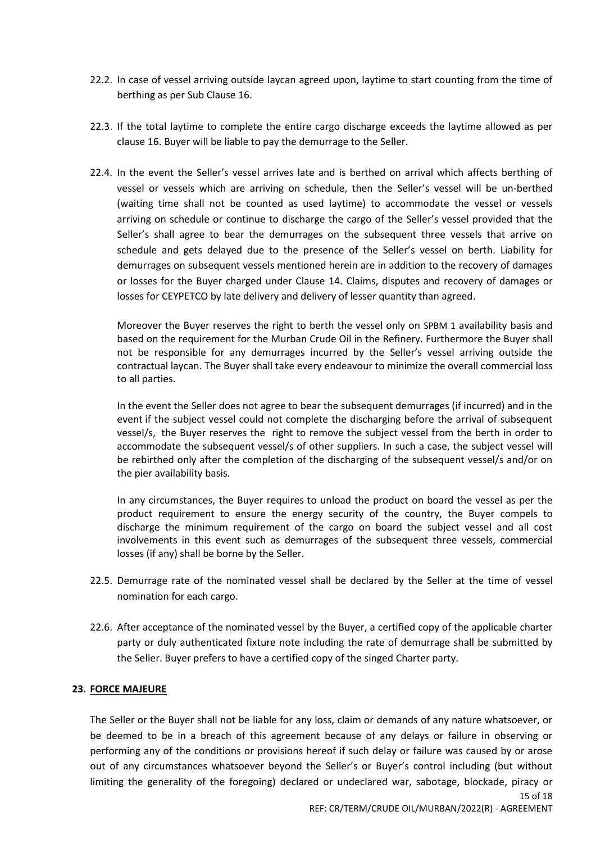- 22.2. In case of vessel arriving outside laycan agreed upon, laytime to start counting from the time of berthing as per Sub Clause 16.
- 22.3. If the total laytime to complete the entire cargo discharge exceeds the laytime allowed as per clause 16. Buyer will be liable to pay the demurrage to the Seller.
- 22.4. In the event the Seller's vessel arrives late and is berthed on arrival which affects berthing of vessel or vessels which are arriving on schedule, then the Seller's vessel will be un-berthed (waiting time shall not be counted as used laytime) to accommodate the vessel or vessels arriving on schedule or continue to discharge the cargo of the Seller's vessel provided that the Seller's shall agree to bear the demurrages on the subsequent three vessels that arrive on schedule and gets delayed due to the presence of the Seller's vessel on berth. Liability for demurrages on subsequent vessels mentioned herein are in addition to the recovery of damages or losses for the Buyer charged under Clause 14. Claims, disputes and recovery of damages or losses for CEYPETCO by late delivery and delivery of lesser quantity than agreed.

Moreover the Buyer reserves the right to berth the vessel only on SPBM 1 availability basis and based on the requirement for the Murban Crude Oil in the Refinery. Furthermore the Buyer shall not be responsible for any demurrages incurred by the Seller's vessel arriving outside the contractual laycan. The Buyer shall take every endeavour to minimize the overall commercial loss to all parties.

In the event the Seller does not agree to bear the subsequent demurrages (if incurred) and in the event if the subject vessel could not complete the discharging before the arrival of subsequent vessel/s, the Buyer reserves the right to remove the subject vessel from the berth in order to accommodate the subsequent vessel/s of other suppliers. In such a case, the subject vessel will be rebirthed only after the completion of the discharging of the subsequent vessel/s and/or on the pier availability basis.

In any circumstances, the Buyer requires to unload the product on board the vessel as per the product requirement to ensure the energy security of the country, the Buyer compels to discharge the minimum requirement of the cargo on board the subject vessel and all cost involvements in this event such as demurrages of the subsequent three vessels, commercial losses (if any) shall be borne by the Seller.

- 22.5. Demurrage rate of the nominated vessel shall be declared by the Seller at the time of vessel nomination for each cargo.
- 22.6. After acceptance of the nominated vessel by the Buyer, a certified copy of the applicable charter party or duly authenticated fixture note including the rate of demurrage shall be submitted by the Seller. Buyer prefers to have a certified copy of the singed Charter party.

#### **23. FORCE MAJEURE**

15 of 18 The Seller or the Buyer shall not be liable for any loss, claim or demands of any nature whatsoever, or be deemed to be in a breach of this agreement because of any delays or failure in observing or performing any of the conditions or provisions hereof if such delay or failure was caused by or arose out of any circumstances whatsoever beyond the Seller's or Buyer's control including (but without limiting the generality of the foregoing) declared or undeclared war, sabotage, blockade, piracy or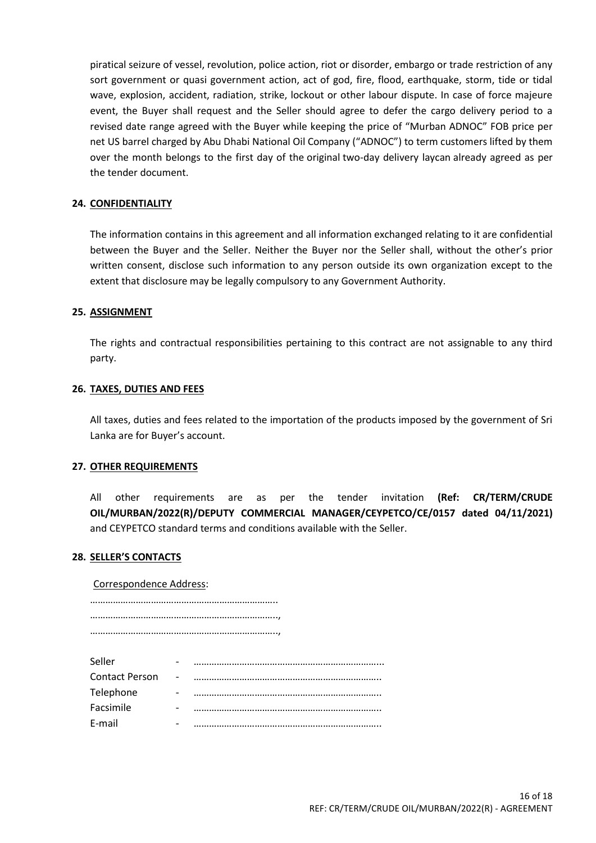piratical seizure of vessel, revolution, police action, riot or disorder, embargo or trade restriction of any sort government or quasi government action, act of god, fire, flood, earthquake, storm, tide or tidal wave, explosion, accident, radiation, strike, lockout or other labour dispute. In case of force majeure event, the Buyer shall request and the Seller should agree to defer the cargo delivery period to a revised date range agreed with the Buyer while keeping the price of "Murban ADNOC" FOB price per net US barrel charged by Abu Dhabi National Oil Company ("ADNOC") to term customers lifted by them over the month belongs to the first day of the original two-day delivery laycan already agreed as per the tender document.

#### **24. CONFIDENTIALITY**

The information contains in this agreement and all information exchanged relating to it are confidential between the Buyer and the Seller. Neither the Buyer nor the Seller shall, without the other's prior written consent, disclose such information to any person outside its own organization except to the extent that disclosure may be legally compulsory to any Government Authority.

#### **25. ASSIGNMENT**

The rights and contractual responsibilities pertaining to this contract are not assignable to any third party.

#### **26. TAXES, DUTIES AND FEES**

All taxes, duties and fees related to the importation of the products imposed by the government of Sri Lanka are for Buyer's account.

#### **27. OTHER REQUIREMENTS**

All other requirements are as per the tender invitation **(Ref: CR/TERM/CRUDE OIL/MURBAN/2022(R)/DEPUTY COMMERCIAL MANAGER/CEYPETCO/CE/0157 dated 04/11/2021)** and CEYPETCO standard terms and conditions available with the Seller.

#### **28. SELLER'S CONTACTS**

Correspondence Address:

……………………………………………………………….. ……………………………………………………………….., ………………………………………………………………..,

| Seller                | - |  |
|-----------------------|---|--|
| <b>Contact Person</b> |   |  |
| Telephone             | - |  |
| Facsimile             |   |  |
| E-mail                |   |  |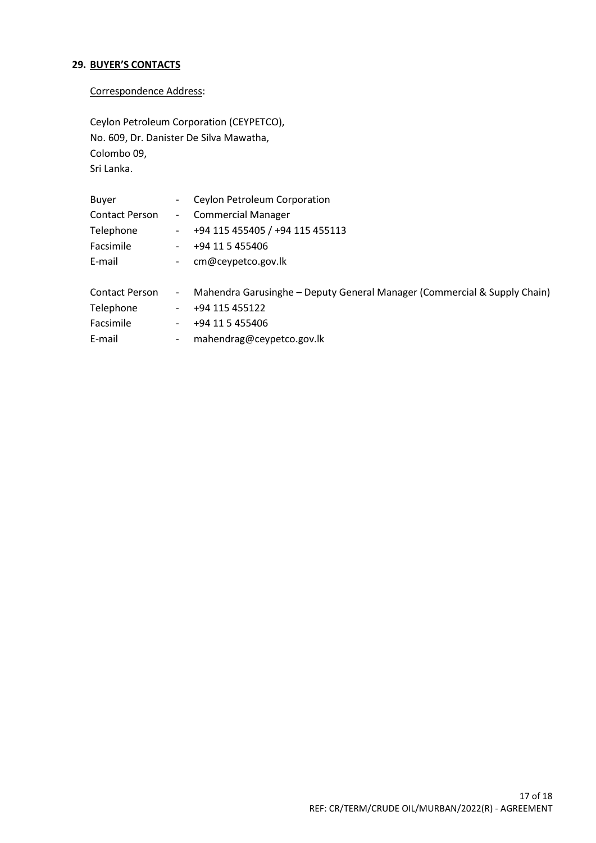# **29. BUYER'S CONTACTS**

# Correspondence Address:

Ceylon Petroleum Corporation (CEYPETCO), No. 609, Dr. Danister De Silva Mawatha, Colombo 09, Sri Lanka.

| Buyer                 | $ -$                 | Ceylon Petroleum Corporation    |
|-----------------------|----------------------|---------------------------------|
| <b>Contact Person</b> |                      | - Commercial Manager            |
| Telephone             | $\sim 100$ m $^{-1}$ | +94 115 455405 / +94 115 455113 |
| Facsimile             |                      | +94 11 5 455406                 |
| E-mail                | $\sim$               | cm@ceypetco.gov.lk              |
|                       |                      |                                 |

| <b>Contact Person</b> | Mahendra Garusinghe - Deputy General Manager (Commercial & Supply Chain) |
|-----------------------|--------------------------------------------------------------------------|
| Telephone             | +94 115 455122                                                           |
| Facsimile             | +94 11 5 455406                                                          |
| E-mail                | mahendrag@ceypetco.gov.lk                                                |